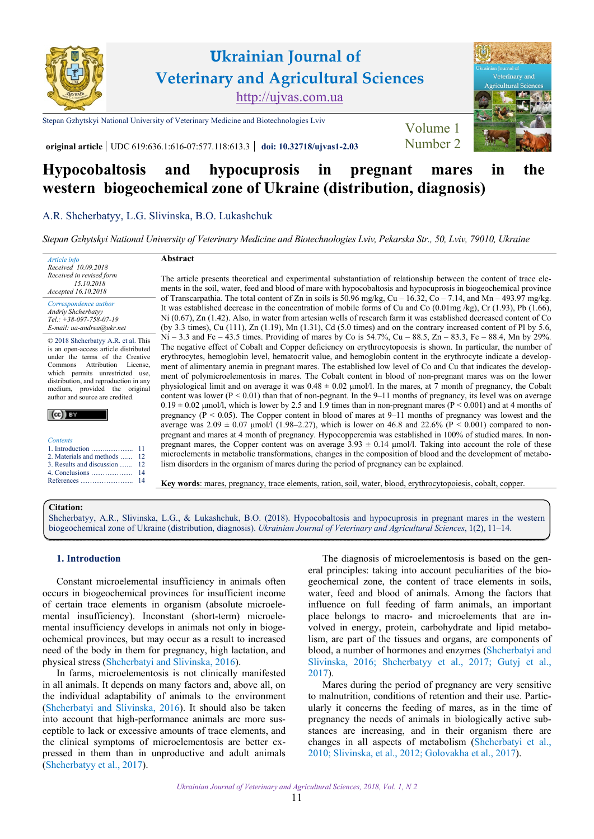

# **Hypocobaltosis and hypocuprosis in pregnant mares in the western biogeochemical zone of Ukraine (distribution, diagnosis)**

[A.R. Shcherbatyy](https://orcid.org/0000-0002-4976-2212), [L.G. Slivinska](https://orcid.org/0000-0003-4441-7628), B.O. [Lukashchuk](https://orcid.org/0000-0002-1919-4015)

*[Stepan Gzhytskyi National University of Veterinary Medicine](https://lvet.edu.ua) and Biotechnologies Lviv, Pekarska Str., 50, Lviv, 79010, Ukraine* 

*Article info Received 10.09.2018 Received in revised form 15.10.2018 Accepted 16.10.2018* 

*Correspondence author [Andriy Shcherbatyy](https://scholar.google.com/citations?user=hoQFGEcAAAAJ&hl=uk) Tel.: +38-097-758-07-19 E-mail: ua-andrea@ukr.net* 

© 2018 Shcherbatyy A.R. et al. This is an open-access article distributed under the terms of the Creative Commons Attribution License, which permits unrestricted use, distribution, and reproduction in any medium, provided the original author and source are credited.

| <b>Contents</b>                                       |
|-------------------------------------------------------|
| 1. Introduction $\dots \dots \dots \dots$             |
| 2. Materials and methods<br>3. Results and discussion |
| 4. Conclusions<br>References                          |

**Abstract** 

The article presents theoretical and experimental substantiation of relationship between the content of trace elements in the soil, water, feed and blood of mare with hypocobaltosis and hypocuprosis in biogeochemical province of Transcarpathia. The total content of Zn in soils is 50.96 mg/kg, Cu – 16.32, Co – 7.14, and Mn – 493.97 mg/kg. It was established decrease in the concentration of mobile forms of Cu and Co  $(0.01mg/kg)$ , Cr (1.93), Pb (1.66), Ni (0.67), Zn (1.42). Also, in water from artesian wells of research farm it was established decreased content of Co (by 3.3 times), Cu (111), Zn (1.19), Mn (1.31), Cd (5.0 times) and on the contrary increased content of Pl by 5.6,  $Ni - 3.3$  and Fe – 43.5 times. Providing of mares by Co is 54.7%, Cu – 88.5, Zn – 83.3, Fe – 88.4, Mn by 29%. The negative effect of Cobalt and Copper deficiency on erythrocytopoesis is shown. In particular, the number of erythrocytes, hemoglobin level, hematocrit value, and hemoglobin content in the erythrocyte indicate a development of alimentary anemia in pregnant mares. The established low level of Co and Cu that indicates the development of polymicroelementosis in mares. The Cobalt content in blood of non-pregnant mares was on the lower physiological limit and on average it was  $0.48 \pm 0.02$  µmol/l. In the mares, at 7 month of pregnancy, the Cobalt content was lower  $(P < 0.01)$  than that of non-pegnant. In the 9–11 months of pregnancy, its level was on average  $0.19 \pm 0.02$  µmol/l, which is lower by 2.5 and 1.9 times than in non-pregnant mares (P < 0.001) and at 4 months of pregnancy ( $P < 0.05$ ). The Copper content in blood of mares at 9–11 months of pregnancy was lowest and the average was  $2.09 \pm 0.07$  µmol/l (1.98–2.27), which is lower on 46.8 and 22.6% (P < 0.001) compared to nonpregnant and mares at 4 month of pregnancy. Hypocopperemia was established in 100% of studied mares. In nonpregnant mares, the Copper content was on average  $3.93 \pm 0.14$  µmol/l. Taking into account the role of these microelements in metabolic transformations, changes in the composition of blood and the development of metabolism disorders in the organism of mares during the period of pregnancy can be explained.

**Key words**: mares, pregnancy, trace elements, ration, soil, water, blood, erythrocytopoiesis, cobalt, copper.

# **Citation:**

[Shcherbatyy, A.R., Slivinska, L.G., & Lukashchuk, B.O. \(2018\). Hypocobaltosis and hypocuprosis in pregnant mares in the western](https://doi.org/10.32718/ujvas1-2.03) biogeochemical zone of Ukraine (distribution, diagnosis). *Ukrainian Journal of Veterinary and Agricultural Sciences*, 1(2), 11–14.

### **1. Introduction**

Constant microelemental insufficiency in animals often occurs in biogeochemical provinces for insufficient income of certain trace elements in organism (absolute microelemental insufficiency). Inconstant (short-term) microelemental insufficiency develops in animals not only in biogeochemical provinces, but may occur as a result to increased need of the body in them for pregnancy, high lactation, and physical stress [\(Shcherbatyi and Slivinska, 2016\)](#page-3-0).

In farms, microelementosis is not clinically manifested in all animals. It depends on many factors and, above all, on the individual adaptability of animals to the environment ([Shcherbatyi and Slivinska, 2016](#page-3-0)). It should also be taken into account that high-performance animals are more susceptible to lack or excessive amounts of trace elements, and the clinical symptoms of microelementosis are better expressed in them than in unproductive and adult animals ([Shcherbatyy et al., 2017\)](#page-3-0).

The diagnosis of microelementosis is based on the general principles: taking into account peculiarities of the biogeochemical zone, the content of trace elements in soils, water, feed and blood of animals. Among the factors that influence on full feeding of farm animals, an important place belongs to macro- and microelements that are involved in energy, protein, carbohydrate and lipid metabolism, are part of the tissues and organs, are components of blood, a number of hormones and enzymes ([Shcherbatyi and](#page-3-0)  [Slivinska, 2016;](#page-3-0) [Shcherbatyy et al., 2017](#page-3-0); [Gutyj et al.,](#page-3-0)  [2017](#page-3-0)).

Mares during the period of pregnancy are very sensitive to malnutrition, conditions of retention and their use. Particularly it concerns the feeding of mares, as in the time of pregnancy the needs of animals in biologically active substances are increasing, and in their organism there are changes in all aspects of metabolism ([Shcherbatyi et al.,](#page-3-0)  [2010; Slivinska, et al., 2012](#page-3-0); [Golovakha et al., 2017](#page-3-0)).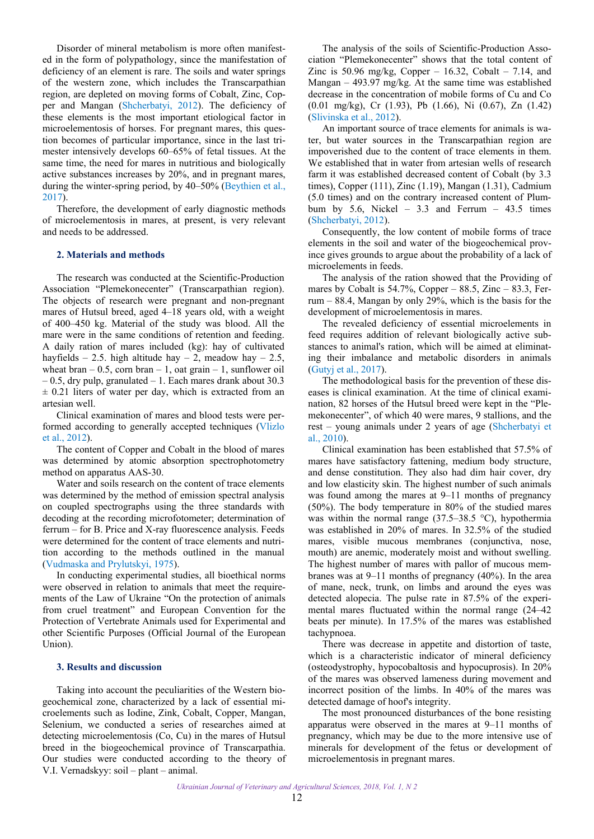<span id="page-1-0"></span>Disorder of mineral metabolism is more often manifested in the form of polypathology, since the manifestation of deficiency of an element is rare. The soils and water springs of the western zone, which includes the Transcarpathian region, are depleted on moving forms of Cobalt, Zinc, Copper and Mangan ([Shcherbatyi, 2012](#page-3-0)). The deficiency of these elements is the most important etiological factor in microelementosis of horses. For pregnant mares, this question becomes of particular importance, since in the last trimester intensively develops 60–65% of fetal tissues. At the same time, the need for mares in nutritious and biologically active substances increases by 20%, and in pregnant mares, during the winter-spring period, by 40–50% [\(Beythien et al.,](#page-3-0) [2017\)](#page-3-0).

Therefore, the development of early diagnostic methods of microelementosis in mares, at present, is very relevant and needs to be addressed.

#### **2. Materials and methods**

The research was conducted at the Scientific-Production Association "Plemekonecenter" (Transcarpathian region). The objects of research were pregnant and non-pregnant mares of Hutsul breed, aged 4–18 years old, with a weight of 400–450 kg. Material of the study was blood. All the mare were in the same conditions of retention and feeding. A daily ration of mares included (kg): hay of cultivated hayfields – 2.5. high altitude hay – 2, meadow hay – 2.5, wheat bran –  $0.5$ , corn bran – 1, oat grain – 1, sunflower oil  $-0.5$ , dry pulp, granulated  $-1$ . Each mares drank about 30.3  $\pm$  0.21 liters of water per day, which is extracted from an artesian well.

Clinical examination of mares and blood tests were performed according to generally accepted techniques [\(Vlizlo](#page-3-0) [et al., 2012\)](#page-3-0).

The content of Copper and Cobalt in the blood of mares was determined by atomic absorption spectrophotometry method on apparatus AAS-30.

Water and soils research on the content of trace elements was determined by the method of emission spectral analysis on coupled spectrographs using the three standards with decoding at the recording microfotometer; determination of ferrum – for B. Price and X-ray fluorescence analysis. Feeds were determined for the content of trace elements and nutrition according to the methods outlined in the manual ([Vudmaska and Prylutskyi, 1975](#page-3-0)).

In conducting experimental studies, all bioethical norms were observed in relation to animals that meet the requirements of the Law of Ukraine "On the protection of animals from cruel treatment" and European Convention for the Protection of Vertebrate Animals used for Experimental and other Scientific Purposes (Official Journal of the European Union).

#### **3. Results and discussion**

Taking into account the peculiarities of the Western biogeochemical zone, characterized by a lack of essential microelements such as Iodine, Zink, Cobalt, Copper, Mangan, Selenium, we conducted a series of researches aimed at detecting microelementosis (Co, Cu) in the mares of Hutsul breed in the biogeochemical province of Transcarpathia. Our studies were conducted according to the theory of V.I. Vernadskyy: soil – plant – animal.

The analysis of the soils of Scientific-Production Association "Plemekonecenter" shows that the total content of Zinc is 50.96 mg/kg, Copper – 16.32, Cobalt – 7.14, and Mangan – 493.97 mg/kg. At the same time was established decrease in the concentration of mobile forms of Cu and Co (0.01 mg/kg), Cr (1.93), Pb (1.66), Ni (0.67), Zn (1.42) [\(Slivinska et al., 2012](#page-3-0)).

An important source of trace elements for animals is water, but water sources in the Transcarpathian region are impoverished due to the content of trace elements in them. We established that in water from artesian wells of research farm it was established decreased content of Cobalt (by 3.3 times), Copper (111), Zinc (1.19), Mangan (1.31), Cadmium (5.0 times) and on the contrary increased content of Plumbum by 5.6, Nickel – 3.3 and Ferrum – 43.5 times [\(Shcherbatyi, 2012](#page-3-0)).

Consequently, the low content of mobile forms of trace elements in the soil and water of the biogeochemical province gives grounds to argue about the probability of a lack of microelements in feeds.

The analysis of the ration showed that the Providing of mares by Cobalt is  $54.7\%$ , Copper –  $88.5$ , Zinc –  $83.3$ , Ferrum – 88.4, Mangan by only 29%, which is the basis for the development of microelementosis in mares.

The revealed deficiency of essential microelements in feed requires addition of relevant biologically active substances to animal's ration, which will be aimed at eliminating their imbalance and metabolic disorders in animals [\(Gutyj et al., 2017](#page-3-0)).

The methodological basis for the prevention of these diseases is clinical examination. At the time of clinical examination, 82 horses of the Hutsul breed were kept in the "Plemekonecenter", of which 40 were mares, 9 stallions, and the rest – young animals under 2 years of age ([Shcherbatyi et](#page-3-0)  [al., 2010\)](#page-3-0).

Clinical examination has been established that 57.5% of mares have satisfactory fattening, medium body structure, and dense constitution. They also had dim hair cover, dry and low elasticity skin. The highest number of such animals was found among the mares at 9–11 months of pregnancy (50%). The body temperature in 80% of the studied mares was within the normal range  $(37.5-38.5 \degree C)$ , hypothermia was established in 20% of mares. In 32.5% of the studied mares, visible mucous membranes (conjunctiva, nose, mouth) are anemic, moderately moist and without swelling. The highest number of mares with pallor of mucous membranes was at 9–11 months of pregnancy (40%). In the area of mane, neck, trunk, on limbs and around the eyes was detected alopecia. The pulse rate in 87.5% of the experimental mares fluctuated within the normal range (24–42 beats per minute). In 17.5% of the mares was established tachypnoea.

There was decrease in appetite and distortion of taste, which is a characteristic indicator of mineral deficiency (osteodystrophy, hypocobaltosis and hypocuprosis). In 20% of the mares was observed lameness during movement and incorrect position of the limbs. In 40% of the mares was detected damage of hoof's integrity.

The most pronounced disturbances of the bone resisting apparatus were observed in the mares at 9–11 months of pregnancy, which may be due to the more intensive use of minerals for development of the fetus or development of microelementosis in pregnant mares.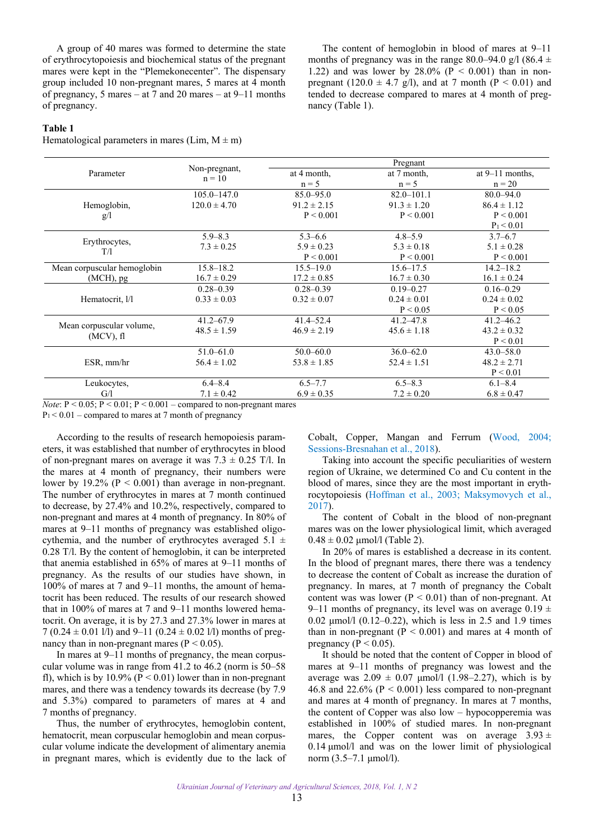A group of 40 mares was formed to determine the state of erythrocytopoiesis and biochemical status of the pregnant mares were kept in the "Plemekonecenter". The dispensary group included 10 non-pregnant mares, 5 mares at 4 month of pregnancy, 5 mares – at 7 and 20 mares – at 9–11 months of pregnancy.

The content of hemoglobin in blood of mares at 9–11 months of pregnancy was in the range 80.0–94.0 g/l (86.4  $\pm$ 1.22) and was lower by  $28.0\%$  (P < 0.001) than in nonpregnant (120.0  $\pm$  4.7 g/l), and at 7 month (P < 0.01) and tended to decrease compared to mares at 4 month of pregnancy (Table 1).

# **Table 1**

Hematological parameters in mares (Lim,  $M \pm m$ )

|                                          | Non-pregnant,<br>$n = 10$ | Pregnant        |                 |                   |
|------------------------------------------|---------------------------|-----------------|-----------------|-------------------|
| Parameter                                |                           | at 4 month,     | at 7 month,     | at $9-11$ months, |
|                                          |                           | $n = 5$         | $n = 5$         | $n = 20$          |
|                                          | $105.0 - 147.0$           | $85.0 - 95.0$   | $82.0 - 101.1$  | $80.0 - 94.0$     |
| Hemoglobin,                              | $120.0 \pm 4.70$          | $91.2 \pm 2.15$ | $91.3 \pm 1.20$ | $86.4 \pm 1.12$   |
| g/l                                      |                           | P < 0.001       | P < 0.001       | P < 0.001         |
|                                          |                           |                 |                 | $P_1 < 0.01$      |
|                                          | $5.9 - 8.3$               | $5.3 - 6.6$     | $4.8 - 5.9$     | $3.7 - 6.7$       |
| Erythrocytes,<br>T/1                     | $7.3 \pm 0.25$            | $5.9 \pm 0.23$  | $5.3 \pm 0.18$  | $5.1 \pm 0.28$    |
|                                          |                           | P < 0.001       | P < 0.001       | P < 0.001         |
| Mean corpuscular hemoglobin              | $15.8 - 18.2$             | $15.5 - 19.0$   | $15.6 - 17.5$   | $14.2 - 18.2$     |
| $(MCH)$ , pg                             | $16.7 \pm 0.29$           | $17.2 \pm 0.85$ | $16.7 \pm 0.30$ | $16.1 \pm 0.24$   |
| Hematocrit, 1/1                          | $0.28 - 0.39$             | $0.28 - 0.39$   | $0.19 - 0.27$   | $0.16 - 0.29$     |
|                                          | $0.33 \pm 0.03$           | $0.32 \pm 0.07$ | $0.24 \pm 0.01$ | $0.24 \pm 0.02$   |
|                                          |                           |                 | P < 0.05        | P < 0.05          |
|                                          | $41.2 - 67.9$             | $41.4 - 52.4$   | $41.2 - 47.8$   | $41.2 - 46.2$     |
| Mean corpuscular volume,<br>$(MCV)$ , fl | $48.5 \pm 1.59$           | $46.9 \pm 2.19$ | $45.6 \pm 1.18$ | $43.2 \pm 0.32$   |
|                                          |                           |                 |                 | P < 0.01          |
|                                          | $51.0 - 61.0$             | $50.0 - 60.0$   | $36.0 - 62.0$   | $43.0 - 58.0$     |
| ESR, mm/hr                               | $56.4 \pm 1.02$           | $53.8 \pm 1.85$ | $52.4 \pm 1.51$ | $48.2 \pm 2.71$   |
|                                          |                           |                 |                 | P < 0.01          |
| Leukocytes,                              | $6.4 - 8.4$               | $6.5 - 7.7$     | $6.5 - 8.3$     | $6.1 - 8.4$       |
| G/1                                      | $7.1 \pm 0.42$            | $6.9 \pm 0.35$  | $7.2 \pm 0.20$  | $6.8 \pm 0.47$    |

 $0.05$ ;  $P < 0.01$ ;  $P < 0.001$  – compared to non-pregnant mares

 $P_1 < 0.01$  – compared to mares at 7 month of pregnancy

According to the results of research hemopoiesis parameters, it was established that number of erythrocytes in blood of non-pregnant mares on average it was  $7.3 \pm 0.25$  T/l. In the mares at 4 month of pregnancy, their numbers were lower by 19.2% ( $P < 0.001$ ) than average in non-pregnant. The number of erythrocytes in mares at 7 month continued to decrease, by 27.4% and 10.2%, respectively, compared to non-pregnant and mares at 4 month of pregnancy. In 80% of mares at 9–11 months of pregnancy was established oligocythemia, and the number of erythrocytes averaged  $5.\overline{1}$  ± 0.28 T/l. By the content of hemoglobin, it can be interpreted that anemia established in 65% of mares at 9–11 months of pregnancy. As the results of our studies have shown, in 100% of mares at 7 and 9–11 months, the amount of hematocrit has been reduced. The results of our research showed that in 100% of mares at 7 and 9–11 months lowered hematocrit. On average, it is by 27.3 and 27.3% lower in mares at 7 (0.24  $\pm$  0.01 l/l) and 9–11 (0.24  $\pm$  0.02 l/l) months of pregnancy than in non-pregnant mares ( $P < 0.05$ ).

In mares at 9–11 months of pregnancy, the mean corpuscular volume was in range from 41.2 to 46.2 (norm is 50–58 fl), which is by 10.9% ( $P < 0.01$ ) lower than in non-pregnant mares, and there was a tendency towards its decrease (by 7.9 and 5.3%) compared to parameters of mares at 4 and 7 months of pregnancy.

Thus, the number of erythrocytes, hemoglobin content, hematocrit, mean corpuscular hemoglobin and mean corpuscular volume indicate the development of alimentary anemia in pregnant mares, which is evidently due to the lack of Cobalt, Copper, Mangan and Ferrum [\(Wood, 2004](#page-3-0); [Sessions-Bresnahan et al., 2018\)](#page-3-0).

Taking into account the specific peculiarities of western region of Ukraine, we determined Co and Cu content in the blood of mares, since they are the most important in erythrocytopoiesis ([Hoffman et al., 2003](#page-3-0); [Maksymovych et al.,](#page-3-0)  [2017](#page-3-0)).

The content of Cobalt in the blood of non-pregnant mares was on the lower physiological limit, which averaged  $0.48 \pm 0.02$  μmol/l (Table 2).

In 20% of mares is established a decrease in its content. In the blood of pregnant mares, there there was a tendency to decrease the content of Cobalt as increase the duration of pregnancy. In mares, at 7 month of pregnancy the Cobalt content was was lower ( $P < 0.01$ ) than of non-pregnant. At 9–11 months of pregnancy, its level was on average  $0.19 \pm$ 0.02 μmol/l (0.12–0.22), which is less in 2.5 and 1.9 times than in non-pregnant  $(P < 0.001)$  and mares at 4 month of pregnancy ( $P < 0.05$ ).

It should be noted that the content of Copper in blood of mares at 9–11 months of pregnancy was lowest and the average was  $2.09 \pm 0.07$  µmol/l (1.98–2.27), which is by 46.8 and 22.6% ( $P < 0.001$ ) less compared to non-pregnant and mares at 4 month of pregnancy. In mares at 7 months, the content of Copper was also low – hypocopperemia was established in 100% of studied mares. In non-pregnant mares, the Copper content was on average  $3.93 \pm$ 0.14 μmol/l and was on the lower limit of physiological norm (3.5–7.1 μmol/l).